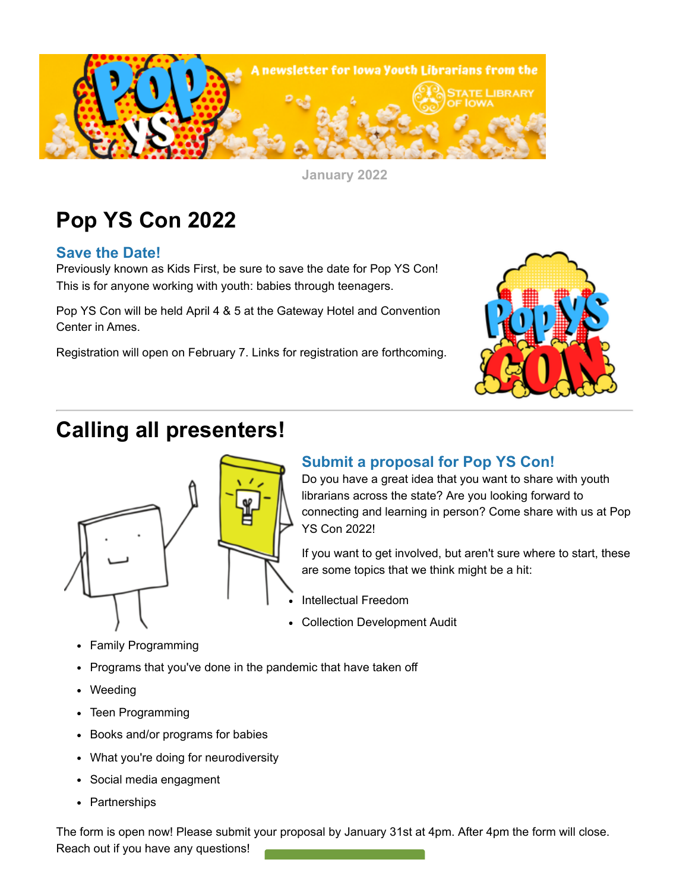

**January 2022**

# **Pop YS Con 2022**

## **Save the Date!**

Previously known as Kids First, be sure to save the date for Pop YS Con! This is for anyone working with youth: babies through teenagers.

Pop YS Con will be held April 4 & 5 at the Gateway Hotel and Convention Center in Ames.

Registration will open on February 7. Links for registration are forthcoming.



# **Calling all presenters!**



## **Submit a proposal for Pop YS Con!**

Do you have a great idea that you want to share with youth librarians across the state? Are you looking forward to connecting and learning in person? Come share with us at Pop YS Con 2022!

If you want to get involved, but aren't sure where to start, these are some topics that we think might be a hit:

- Intellectual Freedom
- $\bullet$ Collection Development Audit
- Family Programming
- Programs that you've done in the pandemic that have taken off
- Weeding
- Teen Programming
- Books and/or programs for babies
- What you're doing for neurodiversity
- Social media engagment
- Partnerships

The form is open now! Please submit your proposal by January 31st at 4pm. After 4pm the form will close. Reach out if you have any questions!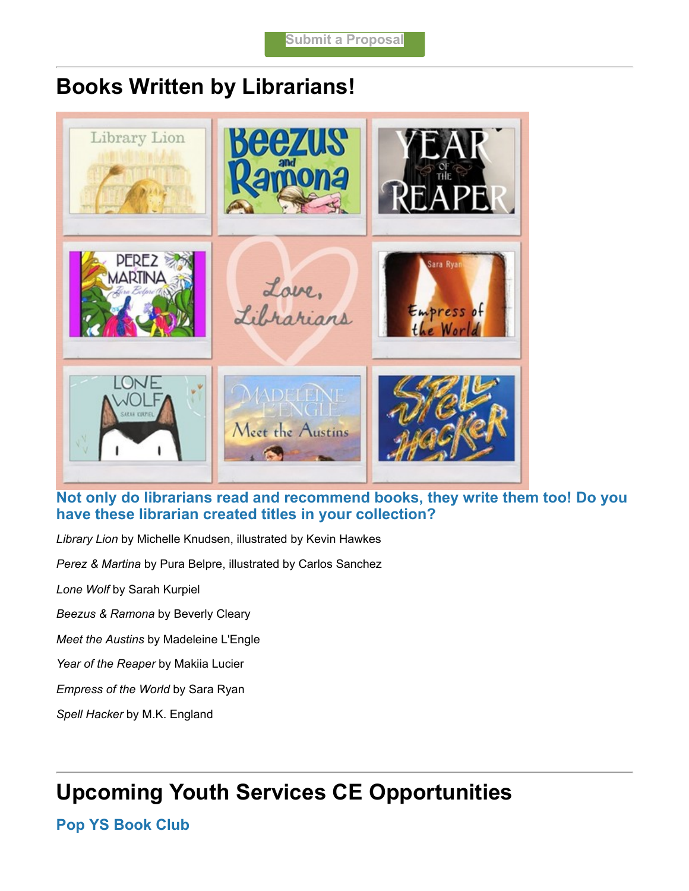## **Books Written by Librarians!**



## **Not only do librarians read and recommend books, they write them too! Do you have these librarian created titles in your collection?**

*Library Lion* by Michelle Knudsen, illustrated by Kevin Hawkes

*Perez & Martina* by Pura Belpre, illustrated by Carlos Sanchez

*Lone Wolf* by Sarah Kurpiel

*Beezus & Ramona* by Beverly Cleary

*Meet the Austins* by Madeleine L'Engle

*Year of the Reaper* by Makiia Lucier

*Empress of the World* by Sara Ryan

*Spell Hacker* by M.K. England

# **Upcoming Youth Services CE Opportunities**

**Pop YS Book Club**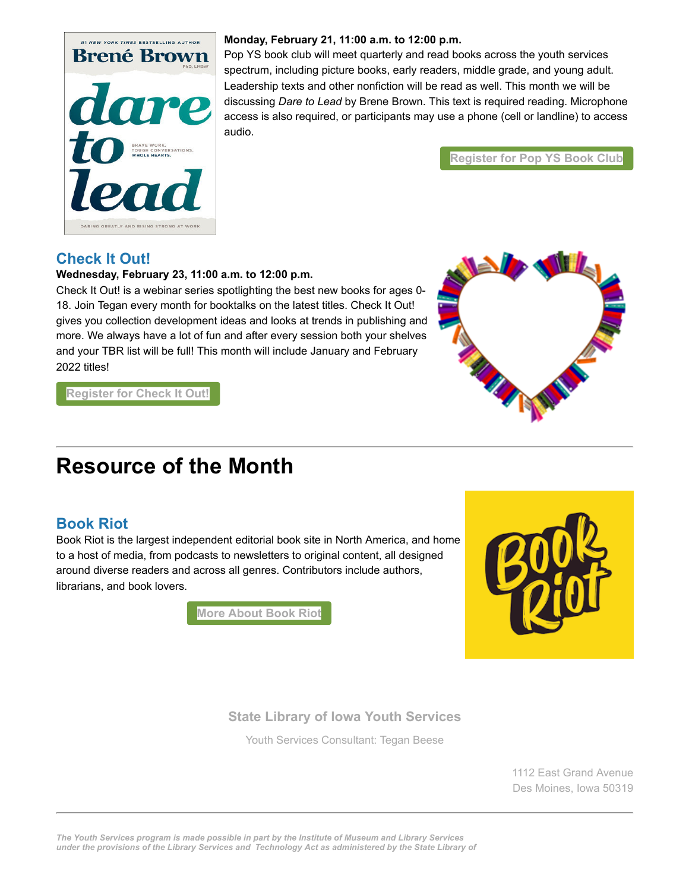

#### **Monday, February 21, 11:00 a.m. to 12:00 p.m.**

Pop YS book club will meet quarterly and read books across the youth services spectrum, including picture books, early readers, middle grade, and young adult. Leadership texts and other nonfiction will be read as well. This month we will be discussing *Dare to Lead* by Brene Brown. This text is required reading. Microphone access is also required, or participants may use a phone (cell or landline) to access audio.

**[Register for Pop YS Book Club](https://lsglm700.learnsoft.com/LSGLM/Login/ialearns.aspx?cid=88&loiid=1029&showloi=1&svtab=6&utm_medium=email&utm_source=govdelivery)**

## **Check It Out!**

#### **Wednesday, February 23, 11:00 a.m. to 12:00 p.m.**

Check It Out! is a webinar series spotlighting the best new books for ages 0- 18. Join Tegan every month for booktalks on the latest titles. Check It Out! gives you collection development ideas and looks at trends in publishing and more. We always have a lot of fun and after every session both your shelves and your TBR list will be full! This month will include January and February 2022 titles!



**[Register for Check It Out!](https://lsglm700.learnsoft.com/LSGLM/Login/ialearns.aspx?cid=88&loiid=1266&showloi=1&svtab=6&utm_medium=email&utm_source=govdelivery)**

# **Resource of the Month**

## **Book Riot**

Book Riot is the largest independent editorial book site in North America, and home to a host of media, from podcasts to newsletters to original content, all designed around diverse readers and across all genres. Contributors include authors, librarians, and book lovers.

**[More About Book Riot](https://bookriot.com/?utm_medium=email&utm_source=govdelivery)**



## **[State Library of Iowa Youth Services](https://www.statelibraryofiowa.gov/index.php/libraries/training-consulting/youth-services?utm_medium=email&utm_source=govdelivery)**

Youth Services Consultant: [Tegan Beese](mailto:Tegan.Beese@iowa.gov)

1112 East Grand Avenue Des Moines, Iowa 50319